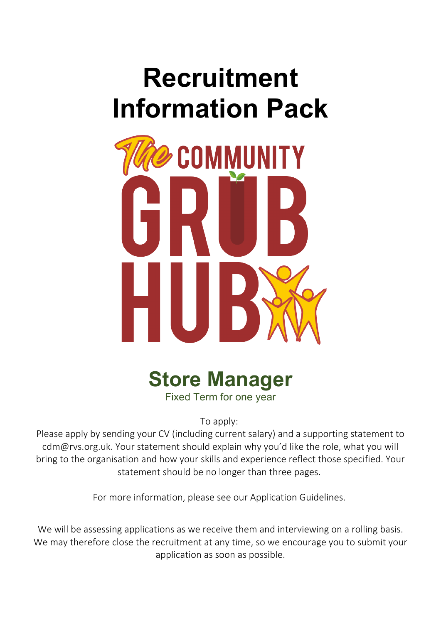# **Recruitment Information Pack**





To apply:

Please apply by sending your CV (including current salary) and a supporting statement to cdm@rvs.org.uk. Your statement should explain why you'd like the role, what you will bring to the organisation and how your skills and experience reflect those specified. Your statement should be no longer than three pages.

For more information, please see our Application Guidelines.

We will be assessing applications as we receive them and interviewing on a rolling basis. We may therefore close the recruitment at any time, so we encourage you to submit your application as soon as possible.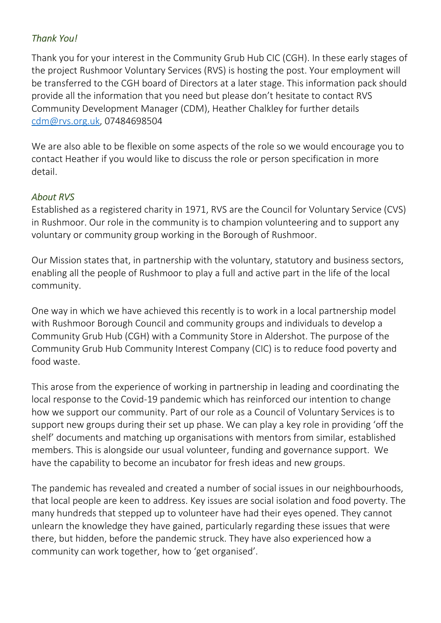## *Thank You!*

Thank you for your interest in the Community Grub Hub CIC (CGH). In these early stages of the project Rushmoor Voluntary Services (RVS) is hosting the post. Your employment will be transferred to the CGH board of Directors at a later stage. This information pack should provide all the information that you need but please don't hesitate to contact RVS Community Development Manager (CDM), Heather Chalkley for further details [cdm@rvs.org.uk,](mailto:details cdm@rvs.org.uk) 07484698504

We are also able to be flexible on some aspects of the role so we would encourage you to contact Heather if you would like to discuss the role or person specification in more detail.

### *About RVS*

Established as a registered charity in 1971, RVS are the Council for Voluntary Service (CVS) in Rushmoor. Our role in the community is to champion volunteering and to support any voluntary or community group working in the Borough of Rushmoor.

Our Mission states that, in partnership with the voluntary, statutory and business sectors, enabling all the people of Rushmoor to play a full and active part in the life of the local community.

One way in which we have achieved this recently is to work in a local partnership model with Rushmoor Borough Council and community groups and individuals to develop a Community Grub Hub (CGH) with a Community Store in Aldershot. The purpose of the Community Grub Hub Community Interest Company (CIC) is to reduce food poverty and food waste.

This arose from the experience of working in partnership in leading and coordinating the local response to the Covid-19 pandemic which has reinforced our intention to change how we support our community. Part of our role as a Council of Voluntary Services is to support new groups during their set up phase. We can play a key role in providing 'off the shelf' documents and matching up organisations with mentors from similar, established members. This is alongside our usual volunteer, funding and governance support. We have the capability to become an incubator for fresh ideas and new groups.

The pandemic has revealed and created a number of social issues in our neighbourhoods, that local people are keen to address. Key issues are social isolation and food poverty. The many hundreds that stepped up to volunteer have had their eyes opened. They cannot unlearn the knowledge they have gained, particularly regarding these issues that were there, but hidden, before the pandemic struck. They have also experienced how a community can work together, how to 'get organised'.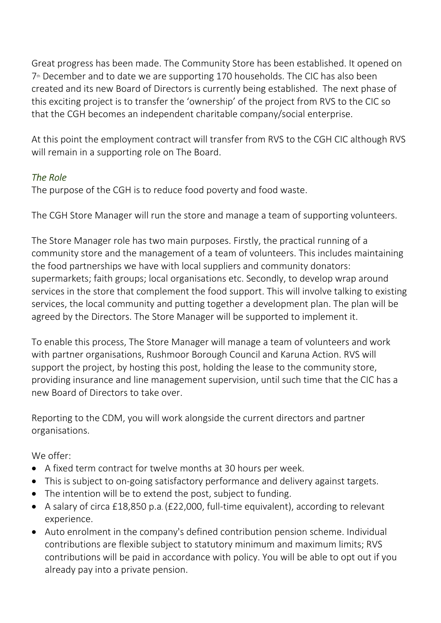Great progress has been made. The Community Store has been established. It opened on  $7<sup>th</sup>$  December and to date we are supporting 170 households. The CIC has also been created and its new Board of Directors is currently being established. The next phase of this exciting project is to transfer the 'ownership' of the project from RVS to the CIC so that the CGH becomes an independent charitable company/social enterprise.

At this point the employment contract will transfer from RVS to the CGH CIC although RVS will remain in a supporting role on The Board.

## *The Role*

The purpose of the CGH is to reduce food poverty and food waste.

The CGH Store Manager will run the store and manage a team of supporting volunteers.

The Store Manager role has two main purposes. Firstly, the practical running of a community store and the management of a team of volunteers. This includes maintaining the food partnerships we have with local suppliers and community donators: supermarkets; faith groups; local organisations etc. Secondly, to develop wrap around services in the store that complement the food support. This will involve talking to existing services, the local community and putting together a development plan. The plan will be agreed by the Directors. The Store Manager will be supported to implement it.

To enable this process, The Store Manager will manage a team of volunteers and work with partner organisations, Rushmoor Borough Council and Karuna Action. RVS will support the project, by hosting this post, holding the lease to the community store, providing insurance and line management supervision, until such time that the CIC has a new Board of Directors to take over.

Reporting to the CDM, you will work alongside the current directors and partner organisations.

We offer:

- A fixed term contract for twelve months at 30 hours per week.
- This is subject to on-going satisfactory performance and delivery against targets.
- The intention will be to extend the post, subject to funding.
- A salary of circa £18,850 p.a. (£22,000, full-time equivalent), according to relevant experience.
- Auto enrolment in the company's defined contribution pension scheme. Individual contributions are flexible subject to statutory minimum and maximum limits; RVS contributions will be paid in accordance with policy. You will be able to opt out if you already pay into a private pension.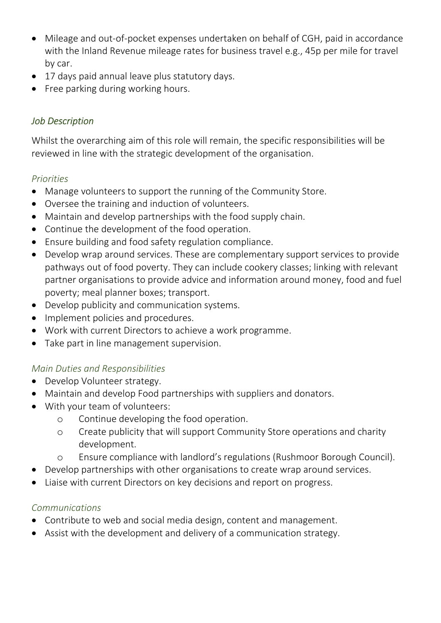- Mileage and out-of-pocket expenses undertaken on behalf of CGH, paid in accordance with the Inland Revenue mileage rates for business travel e.g., 45p per mile for travel by car.
- 17 days paid annual leave plus statutory days.
- Free parking during working hours.

## *Job Description*

Whilst the overarching aim of this role will remain, the specific responsibilities will be reviewed in line with the strategic development of the organisation.

## *Priorities*

- Manage volunteers to support the running of the Community Store.
- Oversee the training and induction of volunteers.
- Maintain and develop partnerships with the food supply chain.
- Continue the development of the food operation.
- Ensure building and food safety regulation compliance.
- Develop wrap around services. These are complementary support services to provide pathways out of food poverty. They can include cookery classes; linking with relevant partner organisations to provide advice and information around money, food and fuel poverty; meal planner boxes; transport.
- Develop publicity and communication systems.
- Implement policies and procedures.
- Work with current Directors to achieve a work programme.
- Take part in line management supervision.

### *Main Duties and Responsibilities*

- Develop Volunteer strategy.
- Maintain and develop Food partnerships with suppliers and donators.
- With your team of volunteers:
	- o Continue developing the food operation.
	- o Create publicity that will support Community Store operations and charity development.
	- o Ensure compliance with landlord's regulations (Rushmoor Borough Council).
- Develop partnerships with other organisations to create wrap around services.
- Liaise with current Directors on key decisions and report on progress.

# *Communications*

- Contribute to web and social media design, content and management.
- Assist with the development and delivery of a communication strategy.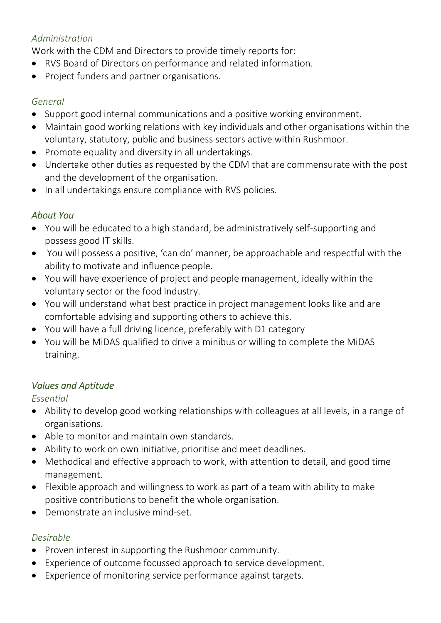# *Administration*

Work with the CDM and Directors to provide timely reports for:

- RVS Board of Directors on performance and related information.
- Project funders and partner organisations.

## *General*

- Support good internal communications and a positive working environment.
- Maintain good working relations with key individuals and other organisations within the voluntary, statutory, public and business sectors active within Rushmoor.
- Promote equality and diversity in all undertakings.
- Undertake other duties as requested by the CDM that are commensurate with the post and the development of the organisation.
- In all undertakings ensure compliance with RVS policies.

# *About You*

- You will be educated to a high standard, be administratively self-supporting and possess good IT skills.
- You will possess a positive, 'can do' manner, be approachable and respectful with the ability to motivate and influence people.
- You will have experience of project and people management, ideally within the voluntary sector or the food industry.
- You will understand what best practice in project management looks like and are comfortable advising and supporting others to achieve this.
- You will have a full driving licence, preferably with D1 category
- You will be MiDAS qualified to drive a minibus or willing to complete the MiDAS training.

# *Values and Aptitude*

# *Essential*

- Ability to develop good working relationships with colleagues at all levels, in a range of organisations.
- Able to monitor and maintain own standards.
- Ability to work on own initiative, prioritise and meet deadlines.
- Methodical and effective approach to work, with attention to detail, and good time management.
- Flexible approach and willingness to work as part of a team with ability to make positive contributions to benefit the whole organisation.
- Demonstrate an inclusive mind-set.

# *Desirable*

- Proven interest in supporting the Rushmoor community.
- Experience of outcome focussed approach to service development.
- Experience of monitoring service performance against targets.